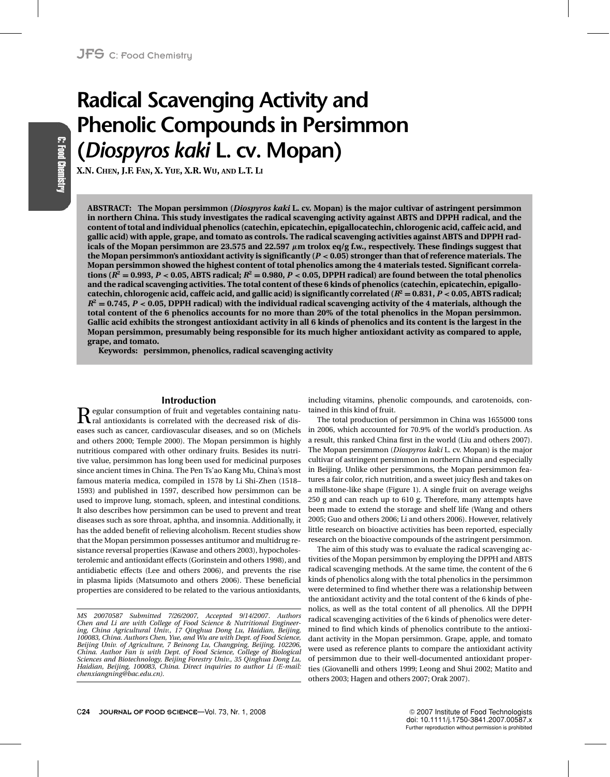# **Radical Scavenging Activity and Phenolic Compounds in Persimmon (***Diospyros kaki* **L. cv. Mopan)**

**X.N. CHEN, J.F. FAN, X. YUE, X.R. WU, AND L.T. LI**

**ABSTRACT: The Mopan persimmon (***Diospyros kaki* **L. cv. Mopan) is the major cultivar of astringent persimmon in northern China. This study investigates the radical scavenging activity against ABTS and DPPH radical, and the content of total and individual phenolics (catechin, epicatechin, epigallocatechin, chlorogenic acid, caffeic acid, and gallic acid) with apple, grape, and tomato as controls. The radical scavenging activities against ABTS and DPPH radicals of the Mopan persimmon are 23.575 and 22.597** *μ***m trolox eq/g f.w., respectively. These findings suggest that the Mopan persimmon's antioxidant activity is significantly (***P <* **0.05) stronger than that of reference materials. The Mopan persimmon showed the highest content of total phenolics among the 4 materials tested. Significant correlations**  $(R^2 = 0.993, P < 0.05, ABTS$  radical;  $R^2 = 0.980, P < 0.05, DPPH$  radical) are found between the total phenolics **and the radical scavenging activities. The total content of these 6 kinds of phenolics (catechin, epicatechin, epigallo**catechin, chlorogenic acid, caffeic acid, and gallic acid) is significantly correlated  $(R^2 = 0.831, P < 0.05, ABTS$  radical;  $R^2 = 0.745$ ,  $P < 0.05$ , DPPH radical) with the individual radical scavenging activity of the 4 materials, although the **total content of the 6 phenolics accounts for no more than 20% of the total phenolics in the Mopan persimmon. Gallic acid exhibits the strongest antioxidant activity in all 6 kinds of phenolics and its content is the largest in the Mopan persimmon, presumably being responsible for its much higher antioxidant activity as compared to apple, grape, and tomato.**

**Keywords: persimmon, phenolics, radical scavenging activity**

**Introduction**<br>**D** egular consumption of fruit and vegetables containing natu- ${\rm R}$ egular consumption of fruit and vegetables containing natu-<br>Tral antioxidants is correlated with the decreased risk of diseases such as cancer, cardiovascular diseases, and so on (Michels and others 2000; Temple 2000). The Mopan persimmon is highly nutritious compared with other ordinary fruits. Besides its nutritive value, persimmon has long been used for medicinal purposes since ancient times in China. The Pen Ts'ao Kang Mu, China's most famous materia medica, compiled in 1578 by Li Shi-Zhen (1518– 1593) and published in 1597, described how persimmon can be used to improve lung, stomach, spleen, and intestinal conditions. It also describes how persimmon can be used to prevent and treat diseases such as sore throat, aphtha, and insomnia. Additionally, it has the added benefit of relieving alcoholism. Recent studies show that the Mopan persimmon possesses antitumor and multidrug resistance reversal properties (Kawase and others 2003), hypocholesterolemic and antioxidant effects (Gorinstein and others 1998), and antidiabetic effects (Lee and others 2006), and prevents the rise in plasma lipids (Matsumoto and others 2006). These beneficial properties are considered to be related to the various antioxidants,

*MS 20070587 Submitted 7/26/2007, Accepted 9/14/2007. Authors Chen and Li are with College of Food Science & Nutritional Engineering, China Agricultural Univ., 17 Qinghua Dong Lu, Haidian, Beijing, 100083, China. Authors Chen, Yue, and Wu are with Dept. of Food Science, Beijing Univ. of Agriculture, 7 Beinong Lu, Changping, Beijing, 102206, China. Author Fan is with Dept. of Food Science, College of Biological Sciences and Biotechnology, Beijing Forestry Univ., 35 Qinghua Dong Lu, Haidian, Beijing, 100083, China. Direct inquiries to author Li (E-mail: chenxiangning@bac.edu.cn).*

including vitamins, phenolic compounds, and carotenoids, contained in this kind of fruit.

The total production of persimmon in China was 1655000 tons in 2006, which accounted for 70.9% of the world's production. As a result, this ranked China first in the world (Liu and others 2007). The Mopan persimmon (*Diospyros kaki* L. cv. Mopan) is the major cultivar of astringent persimmon in northern China and especially in Beijing. Unlike other persimmons, the Mopan persimmon features a fair color, rich nutrition, and a sweet juicy flesh and takes on a millstone-like shape (Figure 1). A single fruit on average weighs 250 g and can reach up to 610 g. Therefore, many attempts have been made to extend the storage and shelf life (Wang and others 2005; Guo and others 2006; Li and others 2006). However, relatively little research on bioactive activities has been reported, especially research on the bioactive compounds of the astringent persimmon.

The aim of this study was to evaluate the radical scavenging activities of the Mopan persimmon by employing the DPPH and ABTS radical scavenging methods. At the same time, the content of the 6 kinds of phenolics along with the total phenolics in the persimmon were determined to find whether there was a relationship between the antioxidant activity and the total content of the 6 kinds of phenolics, as well as the total content of all phenolics. All the DPPH radical scavenging activities of the 6 kinds of phenolics were determined to find which kinds of phenolics contribute to the antioxidant activity in the Mopan persimmon. Grape, apple, and tomato were used as reference plants to compare the antioxidant activity of persimmon due to their well-documented antioxidant properties (Giovanelli and others 1999; Leong and Shui 2002; Matito and others 2003; Hagen and others 2007; Orak 2007).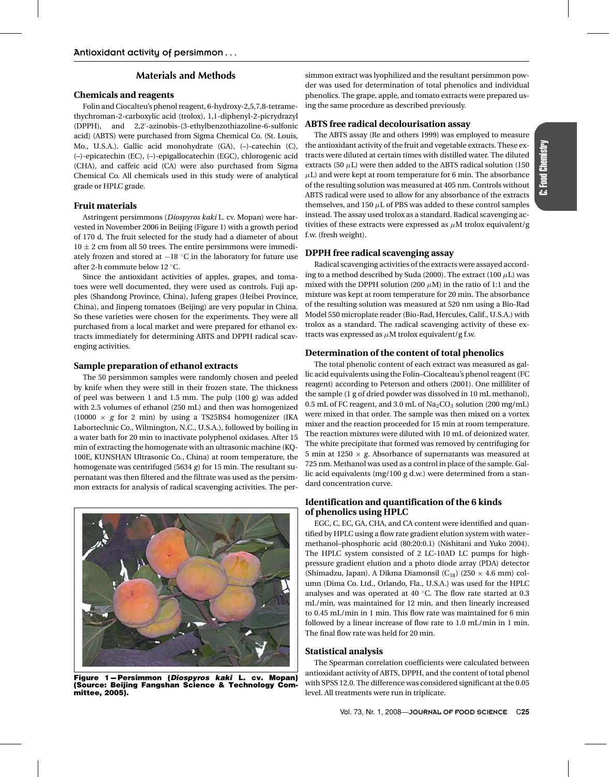# **Materials and Methods**

### **Chemicals and reagents**

Folin and Ciocalteu's phenol reagent, 6-hydroxy-2,5,7,8-tetramethychroman-2-carboxylic acid (trolox), 1,1-diphenyl-2-picrydrazyl (DPPH), and 2,2 -azinobis-(3-ethylbenzothiazoline-6-sulfonic acid) (ABTS) were purchased from Sigma Chemical Co. (St. Louis, Mo., U.S.A.). Gallic acid monohydrate (GA), (–)-catechin (C), (–)-epicatechin (EC), (–)-epigallocatechin (EGC), chlorogenic acid (CHA), and caffeic acid (CA) were also purchased from Sigma Chemical Co. All chemicals used in this study were of analytical grade or HPLC grade.

#### **Fruit materials**

Astringent persimmons (*Diospyros kaki* L. cv. Mopan) were harvested in November 2006 in Beijing (Figure 1) with a growth period of 170 d. The fruit selected for the study had a diameter of about  $10 \pm 2$  cm from all 50 trees. The entire persimmons were immediately frozen and stored at −18 ◦C in the laboratory for future use after 2-h commute below 12 ◦C.

Since the antioxidant activities of apples, grapes, and tomatoes were well documented, they were used as controls. Fuji apples (Shandong Province, China), Jufeng grapes (Heibei Province, China), and Jinpeng tomatoes (Beijing) are very popular in China. So these varieties were chosen for the experiments. They were all purchased from a local market and were prepared for ethanol extracts immediately for determining ABTS and DPPH radical scavenging activities.

#### **Sample preparation of ethanol extracts**

The 50 persimmon samples were randomly chosen and peeled by knife when they were still in their frozen state. The thickness of peel was between 1 and 1.5 mm. The pulp (100 g) was added with 2.5 volumes of ethanol (250 mL) and then was homogenized (10000  $\times$  *g* for 2 min) by using a TS25BS4 homogenizer (IKA Labortechnic Co., Wilmington, N.C., U.S.A.), followed by boiling in a water bath for 20 min to inactivate polyphenol oxidases. After 15 min of extracting the homogenate with an ultrasonic machine (KQ-100E, KUNSHAN Ultrasonic Co., China) at room temperature, the homogenate was centrifuged (5634 *g*) for 15 min. The resultant supernatant was then filtered and the filtrate was used as the persimmon extracts for analysis of radical scavenging activities. The per-



Figure 1-Persimmon (*Diospyros kaki* L. cv. Mopan) **(Source: Beijing Fangshan Science & Technology Committee, 2005).**

simmon extract was lyophilized and the resultant persimmon powder was used for determination of total phenolics and individual phenolics. The grape, apple, and tomato extracts were prepared using the same procedure as described previously.

# **ABTS free radical decolourisation assay**

The ABTS assay (Re and others 1999) was employed to measure the antioxidant activity of the fruit and vegetable extracts. These extracts were diluted at certain times with distilled water. The diluted extracts (50  $\mu$ L) were then added to the ABTS radical solution (150  $\mu$ L) and were kept at room temperature for 6 min. The absorbance of the resulting solution was measured at 405 nm. Controls without ABTS radical were used to allow for any absorbance of the extracts themselves, and 150  $\mu$ L of PBS was added to these control samples instead. The assay used trolox as a standard. Radical scavenging activities of these extracts were expressed as  $\mu$ M trolox equivalent/g f.w. (fresh weight).

#### **DPPH free radical scavenging assay**

Radical scavenging activities of the extracts were assayed according to a method described by Suda (2000). The extract (100  $\mu$ L) was mixed with the DPPH solution (200  $\mu$ M) in the ratio of 1:1 and the mixture was kept at room temperature for 20 min. The absorbance of the resulting solution was measured at 520 nm using a Bio-Rad Model 550 microplate reader (Bio-Rad, Hercules, Calif., U.S.A.) with trolox as a standard. The radical scavenging activity of these extracts was expressed as  $\mu$ M trolox equivalent/g f.w.

### **Determination of the content of total phenolics**

The total phenolic content of each extract was measured as gallic acid equivalents using the Folin–Ciocalteau's phenol reagent (FC reagent) according to Peterson and others (2001). One milliliter of the sample (1 g of dried powder was dissolved in 10 mL methanol), 0.5 mL of FC reagent, and 3.0 mL of  $\text{Na}_2\text{CO}_3$  solution (200 mg/mL) were mixed in that order. The sample was then mixed on a vortex mixer and the reaction proceeded for 15 min at room temperature. The reaction mixtures were diluted with 10 mL of deionized water. The white precipitate that formed was removed by centrifuging for 5 min at 1250 × *g*. Absorbance of supernatants was measured at 725 nm. Methanol was used as a control in place of the sample. Gallic acid equivalents (mg/100 g d.w.) were determined from a standard concentration curve.

# **Identification and quantification of the 6 kinds of phenolics using HPLC**

EGC, C, EC, GA, CHA, and CA content were identified and quantified by HPLC using a flow rate gradient elution system with water– methanol–phosphoric acid (80:20:0.1) (Nishitani and Yuko 2004). The HPLC system consisted of 2 LC-10AD LC pumps for highpressure gradient elution and a photo diode array (PDA) detector (Shimadzu, Japan). A Dikma Diamonsil (C<sub>18</sub>) (250  $\times$  4.6 mm) column (Dima Co. Ltd., Orlando, Fla., U.S.A.) was used for the HPLC analyses and was operated at 40 ◦C. The flow rate started at 0.3 mL/min, was maintained for 12 min, and then linearly increased to 0.45 mL/min in 1 min. This flow rate was maintained for 6 min followed by a linear increase of flow rate to 1.0 mL/min in 1 min. The final flow rate was held for 20 min.

# **Statistical analysis**

The Spearman correlation coefficients were calculated between antioxidant activity of ABTS, DPPH, and the content of total phenol with SPSS 12.0. The difference was considered significant at the 0.05 level. All treatments were run in triplicate.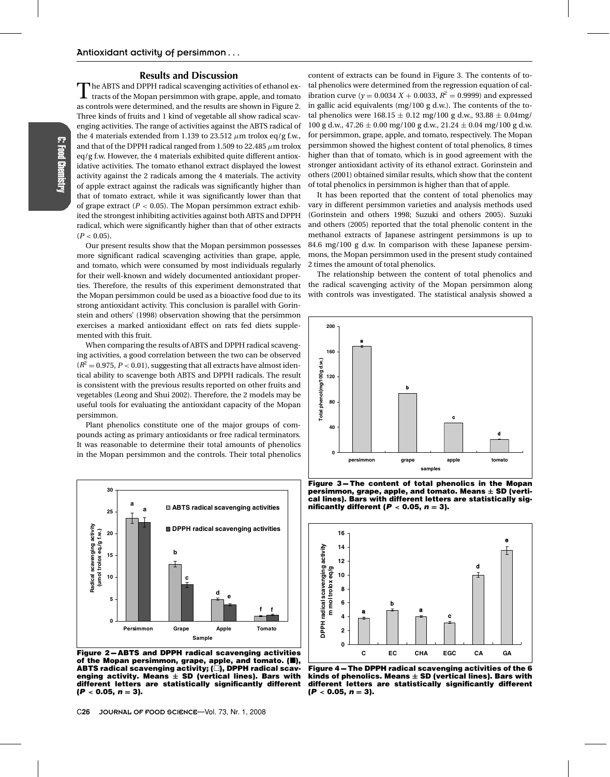# **Results and Discussion**

The ABTS and DPPH radical scavenging activities of ethanol ex-tracts of the Mopan persimmon with grape, apple, and tomato as controls were determined, and the results are shown in Figure 2. Three kinds of fruits and 1 kind of vegetable all show radical scavenging activities. The range of activities against the ABTS radical of the 4 materials extended from 1.139 to 23.512  $\mu$ m trolox eq/g f.w., and that of the DPPH radical ranged from 1.509 to 22.485  $\mu$ m trolox eq/g f.w. However, the 4 materials exhibited quite different antioxidative activities. The tomato ethanol extract displayed the lowest activity against the 2 radicals among the 4 materials. The activity of apple extract against the radicals was significantly higher than that of tomato extract, while it was significantly lower than that of grape extract  $(P < 0.05)$ . The Mopan persimmon extract exhibited the strongest inhibiting activities against both ABTS and DPPH radical, which were significantly higher than that of other extracts  $(P < 0.05)$ .

Our present results show that the Mopan persimmon possesses more significant radical scavenging activities than grape, apple, and tomato, which were consumed by most individuals regularly for their well-known and widely documented antioxidant properties. Therefore, the results of this experiment demonstrated that the Mopan persimmon could be used as a bioactive food due to its strong antioxidant activity. This conclusion is parallel with Gorinstein and others' (1998) observation showing that the persimmon exercises a marked antioxidant effect on rats fed diets supplemented with this fruit.

When comparing the results of ABTS and DPPH radical scavenging activities, a good correlation between the two can be observed  $(R^2 = 0.975, P < 0.01)$ , suggesting that all extracts have almost identical ability to scavenge both ABTS and DPPH radicals. The result is consistent with the previous results reported on other fruits and vegetables (Leong and Shui 2002). Therefore, the 2 models may be useful tools for evaluating the antioxidant capacity of the Mopan persimmon.

Plant phenolics constitute one of the major groups of compounds acting as primary antioxidants or free radical terminators. It was reasonable to determine their total amounts of phenolics in the Mopan persimmon and the controls. Their total phenolics



**Figure 2-ABTS and DPPH radical scavenging activities of the Mopan persimmon, grape, apple, and tomato. (**-**), ABTS radical scavenging activity; (), DPPH radical scavenging activity. Means ± SD (vertical lines). Bars with different letters are statistically significantly different (***P <* **0.05,** *n* **= 3).**

content of extracts can be found in Figure 3. The contents of total phenolics were determined from the regression equation of calibration curve ( $y = 0.0034 X + 0.0033$ ,  $R^2 = 0.9999$ ) and expressed in gallic acid equivalents (mg/100 g d.w.). The contents of the total phenolics were  $168.15 \pm 0.12$  mg/100 g d.w., 93.88  $\pm$  0.04mg/ 100 g d.w.,  $47.26 \pm 0.00$  mg/100 g d.w.,  $21.24 \pm 0.04$  mg/100 g d.w. for persimmon, grape, apple, and tomato, respectively. The Mopan persimmon showed the highest content of total phenolics, 8 times higher than that of tomato, which is in good agreement with the stronger antioxidant activity of its ethanol extract. Gorinstein and others (2001) obtained similar results, which show that the content of total phenolics in persimmon is higher than that of apple.

It has been reported that the content of total phenolics may vary in different persimmon varieties and analysis methods used (Gorinstein and others 1998; Suzuki and others 2005). Suzuki and others (2005) reported that the total phenolic content in the methanol extracts of Japanese astringent persimmons is up to 84.6 mg/100 g d.w. In comparison with these Japanese persimmons, the Mopan persimmon used in the present study contained 2 times the amount of total phenolics.

The relationship between the content of total phenolics and the radical scavenging activity of the Mopan persimmon along with controls was investigated. The statistical analysis showed a



Figure 3-The content of total phenolics in the Mopan **persimmon, grape, apple, and tomato. Means ± SD (vertical lines). Bars with different letters are statistically significantly different (** $P$  **< 0.05,**  $n = 3$ **).** 



Figure 4 - The DPPH radical scavenging activities of the 6 **kinds of phenolics. Means ± SD (vertical lines). Bars with different letters are statistically significantly different (***P <* **0.05,** *n* **= 3).**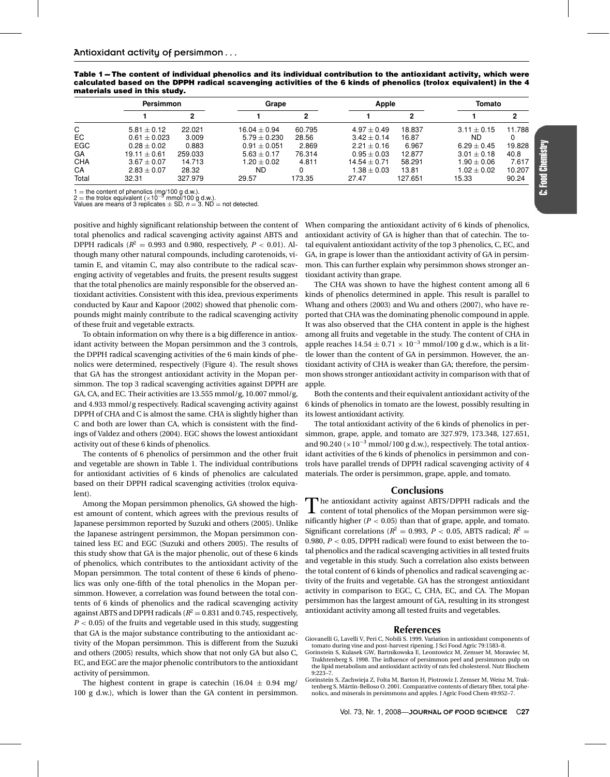Table 1 - The content of individual phenolics and its individual contribution to the antioxidant activity, which were **calculated based on the DPPH radical scavenging activities of the 6 kinds of phenolics (trolox equivalent) in the 4 materials used in this study.**

|            | <b>Persimmon</b> |         |                  | Grape  |                  | Apple   |                 | Tomato |  |
|------------|------------------|---------|------------------|--------|------------------|---------|-----------------|--------|--|
|            |                  |         |                  |        |                  |         |                 | 2      |  |
| C          | $5.81 \pm 0.12$  | 22.021  | $16.04 \pm 0.94$ | 60.795 | $4.97 \pm 0.49$  | 18.837  | $3.11 \pm 0.15$ | 11.788 |  |
| EC         | $0.61 + 0.023$   | 3.009   | $5.79 + 0.230$   | 28.56  | $3.42 \pm 0.14$  | 16.87   | ND.             |        |  |
| <b>EGC</b> | $0.28 + 0.02$    | 0.883   | $0.91 + 0.051$   | 2.869  | $2.21 + 0.16$    | 6.967   | $6.29 + 0.45$   | 19.828 |  |
| GA         | $19.11 + 0.61$   | 259.033 | $5.63 + 0.17$    | 76.314 | $0.95 \pm 0.03$  | 12.877  | $3.01 + 0.18$   | 40.8   |  |
| CHA        | $3.67 + 0.07$    | 14.713  | $1.20 + 0.02$    | 4.811  | $14.54 \pm 0.71$ | 58.291  | $1.90 \pm 0.06$ | 7.617  |  |
| CA         | $2.83 + 0.07$    | 28.32   | ND               |        | $1.38 + 0.03$    | 13.81   | $1.02 + 0.02$   | 10.207 |  |
| Total      | 32.31            | 327.979 | 29.57            | 173.35 | 27.47            | 127.651 | 15.33           | 90.24  |  |

1 = the content of phenolics (mg/100 g d.w.).<br>2 = the trolox equivalent (×10−3 mmol/100 g d.w.).<br>Velue are the flat of a state of the tro

Values are means of 3 replicates ± SD, *n* = 3. ND = not detected.

positive and highly significant relationship between the content of total phenolics and radical scavenging activity against ABTS and DPPH radicals ( $R^2 = 0.993$  and 0.980, respectively,  $P < 0.01$ ). Although many other natural compounds, including carotenoids, vitamin E, and vitamin C, may also contribute to the radical scavenging activity of vegetables and fruits, the present results suggest that the total phenolics are mainly responsible for the observed antioxidant activities. Consistent with this idea, previous experiments conducted by Kaur and Kapoor (2002) showed that phenolic compounds might mainly contribute to the radical scavenging activity of these fruit and vegetable extracts.

To obtain information on why there is a big difference in antioxidant activity between the Mopan persimmon and the 3 controls, the DPPH radical scavenging activities of the 6 main kinds of phenolics were determined, respectively (Figure 4). The result shows that GA has the strongest antioxidant activity in the Mopan persimmon. The top 3 radical scavenging activities against DPPH are GA, CA, and EC. Their activities are 13.555 mmol/g, 10.007 mmol/g, and 4.933 mmol/g respectively. Radical scavenging activity against DPPH of CHA and C is almost the same. CHA is slightly higher than C and both are lower than CA, which is consistent with the findings of Valdez and others (2004). EGC shows the lowest antioxidant activity out of these 6 kinds of phenolics.

The contents of 6 phenolics of persimmon and the other fruit and vegetable are shown in Table 1. The individual contributions for antioxidant activities of 6 kinds of phenolics are calculated based on their DPPH radical scavenging activities (trolox equivalent).

Among the Mopan persimmon phenolics, GA showed the highest amount of content, which agrees with the previous results of Japanese persimmon reported by Suzuki and others (2005). Unlike the Japanese astringent persimmon, the Mopan persimmon contained less EC and EGC (Suzuki and others 2005). The results of this study show that GA is the major phenolic, out of these 6 kinds of phenolics, which contributes to the antioxidant activity of the Mopan persimmon. The total content of these 6 kinds of phenolics was only one-fifth of the total phenolics in the Mopan persimmon. However, a correlation was found between the total contents of 6 kinds of phenolics and the radical scavenging activity against ABTS and DPPH radicals  $(R^2 = 0.831$  and 0.745, respectively,  $P < 0.05$ ) of the fruits and vegetable used in this study, suggesting that GA is the major substance contributing to the antioxidant activity of the Mopan persimmon. This is different from the Suzuki and others (2005) results, which show that not only GA but also C, EC, and EGC are the major phenolic contributors to the antioxidant activity of persimmon.

The highest content in grape is catechin (16.04  $\pm$  0.94 mg/ 100 g d.w.), which is lower than the GA content in persimmon.

When comparing the antioxidant activity of 6 kinds of phenolics, antioxidant activity of GA is higher than that of catechin. The total equivalent antioxidant activity of the top 3 phenolics, C, EC, and GA, in grape is lower than the antioxidant activity of GA in persimmon. This can further explain why persimmon shows stronger antioxidant activity than grape.

The CHA was shown to have the highest content among all 6 kinds of phenolics determined in apple. This result is parallel to Whang and others (2003) and Wu and others (2007), who have reported that CHA was the dominating phenolic compound in apple. It was also observed that the CHA content in apple is the highest among all fruits and vegetable in the study. The content of CHA in apple reaches  $14.54 \pm 0.71 \times 10^{-3}$  mmol/100 g d.w., which is a little lower than the content of GA in persimmon. However, the antioxidant activity of CHA is weaker than GA; therefore, the persimmon shows stronger antioxidant activity in comparison with that of apple.

Both the contents and their equivalent antioxidant activity of the 6 kinds of phenolics in tomato are the lowest, possibly resulting in its lowest antioxidant activity.

The total antioxidant activity of the 6 kinds of phenolics in persimmon, grape, apple, and tomato are 327.979, 173.348, 127.651, and 90.240 ( $\times 10^{-3}$  mmol/100 g d.w.), respectively. The total antioxidant activities of the 6 kinds of phenolics in persimmon and controls have parallel trends of DPPH radical scavenging activity of 4 materials. The order is persimmon, grape, apple, and tomato.

#### **Conclusions**

The antioxidant activity against ABTS/DPPH radicals and the content of total phenolics of the Mopan persimmon were significantly higher  $(P < 0.05)$  than that of grape, apple, and tomato. Significant correlations ( $R^2 = 0.993$ ,  $P < 0.05$ , ABTS radical;  $R^2 =$ 0.980, *P* < 0.05, DPPH radical) were found to exist between the total phenolics and the radical scavenging activities in all tested fruits and vegetable in this study. Such a correlation also exists between the total content of 6 kinds of phenolics and radical scavenging activity of the fruits and vegetable. GA has the strongest antioxidant activity in comparison to EGC, C, CHA, EC, and CA. The Mopan persimmon has the largest amount of GA, resulting in its strongest antioxidant activity among all tested fruits and vegetables.

#### **References**

- Giovanelli G, Lavelli V, Peri C, Nobili S. 1999. Variation in antioxidant components of tomato during vine and post-harvest ripening. J Sci Food Agric 79:1583–8. Gorinstein S, Kulasek GW, Bartnikowska E, Leontowicz M, Zemser M, Morawiec M,
- Trakhtenberg S. 1998. The influence of persimmon peel and persimmon pulp on the lipid metabolism and antioxidant activity of rats fed cholesterol. Nutr Biochem  $9:223-$
- Gorinstein S, Zachwieja Z, Folta M, Barton H, Piotrowiz J, Zemser M, Weisz M, Traktenberg S, Mártín-Belloso O. 2001. Comparative contents of dietary fiber, total phenolics, and minerals in persimmons and apples. J Agric Food Chem 49:952–7.